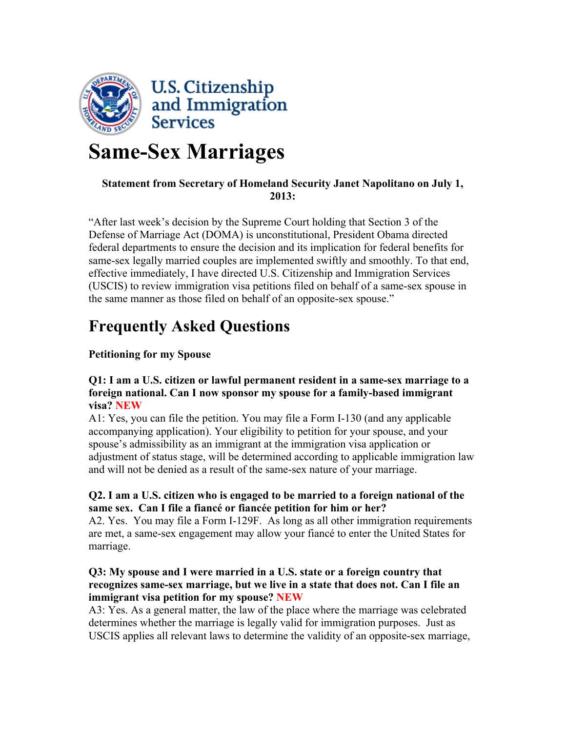

# **Same-Sex Marriages**

# **Statement from Secretary of Homeland Security Janet Napolitano on July 1, 2013:**

"After last week's decision by the Supreme Court holding that Section 3 of the Defense of Marriage Act (DOMA) is unconstitutional, President Obama directed federal departments to ensure the decision and its implication for federal benefits for same-sex legally married couples are implemented swiftly and smoothly. To that end, effective immediately, I have directed U.S. Citizenship and Immigration Services (USCIS) to review immigration visa petitions filed on behalf of a same-sex spouse in the same manner as those filed on behalf of an opposite-sex spouse."

# **Frequently Asked Questions**

# **Petitioning for my Spouse**

#### **Q1: I am a U.S. citizen or lawful permanent resident in a same-sex marriage to a foreign national. Can I now sponsor my spouse for a family-based immigrant visa? NEW**

A1: Yes, you can file the petition. You may file a Form I-130 (and any applicable accompanying application). Your eligibility to petition for your spouse, and your spouse's admissibility as an immigrant at the immigration visa application or adjustment of status stage, will be determined according to applicable immigration law and will not be denied as a result of the same-sex nature of your marriage.

# **Q2. I am a U.S. citizen who is engaged to be married to a foreign national of the same sex. Can I file a fiancé or fiancée petition for him or her?**

A2. Yes. You may file a Form I-129F. As long as all other immigration requirements are met, a same-sex engagement may allow your fiancé to enter the United States for marriage.

# **Q3: My spouse and I were married in a U.S. state or a foreign country that recognizes same-sex marriage, but we live in a state that does not. Can I file an immigrant visa petition for my spouse? NEW**

A3: Yes. As a general matter, the law of the place where the marriage was celebrated determines whether the marriage is legally valid for immigration purposes. Just as USCIS applies all relevant laws to determine the validity of an opposite-sex marriage,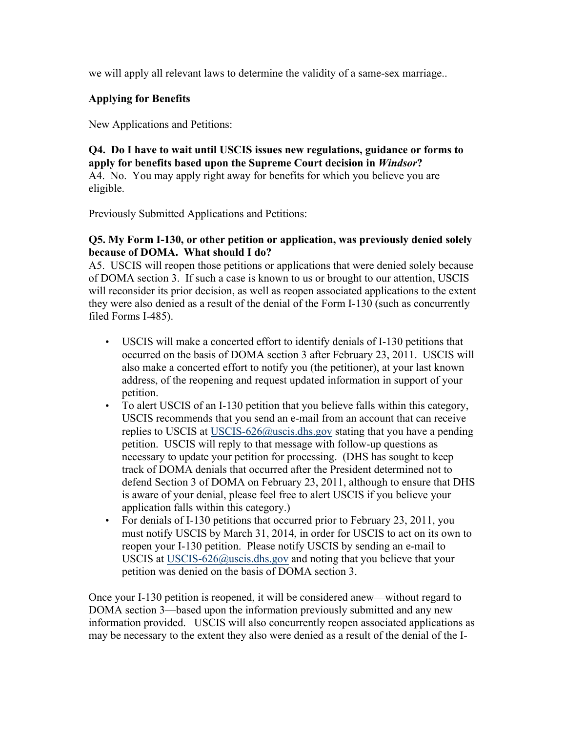we will apply all relevant laws to determine the validity of a same-sex marriage..

# **Applying for Benefits**

New Applications and Petitions:

**Q4. Do I have to wait until USCIS issues new regulations, guidance or forms to apply for benefits based upon the Supreme Court decision in** *Windsor***?** A4. No. You may apply right away for benefits for which you believe you are eligible.

Previously Submitted Applications and Petitions:

#### **Q5. My Form I-130, or other petition or application, was previously denied solely because of DOMA. What should I do?**

A5. USCIS will reopen those petitions or applications that were denied solely because of DOMA section 3. If such a case is known to us or brought to our attention, USCIS will reconsider its prior decision, as well as reopen associated applications to the extent they were also denied as a result of the denial of the Form I-130 (such as concurrently filed Forms I-485).

- USCIS will make a concerted effort to identify denials of I-130 petitions that occurred on the basis of DOMA section 3 after February 23, 2011. USCIS will also make a concerted effort to notify you (the petitioner), at your last known address, of the reopening and request updated information in support of your petition.
- To alert USCIS of an I-130 petition that you believe falls within this category, USCIS recommends that you send an e-mail from an account that can receive replies to USCIS at USCIS-626@uscis.dhs.gov stating that you have a pending petition. USCIS will reply to that message with follow-up questions as necessary to update your petition for processing. (DHS has sought to keep track of DOMA denials that occurred after the President determined not to defend Section 3 of DOMA on February 23, 2011, although to ensure that DHS is aware of your denial, please feel free to alert USCIS if you believe your application falls within this category.)
- For denials of I-130 petitions that occurred prior to February 23, 2011, you must notify USCIS by March 31, 2014, in order for USCIS to act on its own to reopen your I-130 petition. Please notify USCIS by sending an e-mail to USCIS at USCIS-626@uscis.dhs.gov and noting that you believe that your petition was denied on the basis of DOMA section 3.

Once your I-130 petition is reopened, it will be considered anew—without regard to DOMA section 3—based upon the information previously submitted and any new information provided. USCIS will also concurrently reopen associated applications as may be necessary to the extent they also were denied as a result of the denial of the I-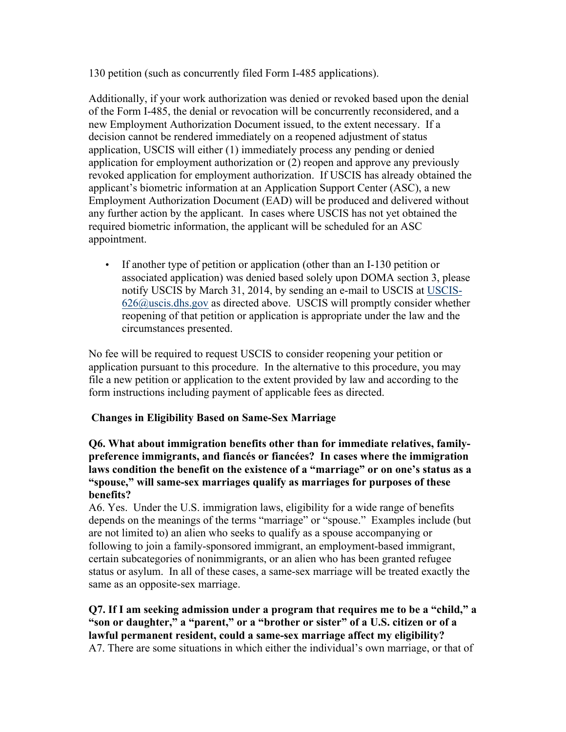130 petition (such as concurrently filed Form I-485 applications).

Additionally, if your work authorization was denied or revoked based upon the denial of the Form I-485, the denial or revocation will be concurrently reconsidered, and a new Employment Authorization Document issued, to the extent necessary. If a decision cannot be rendered immediately on a reopened adjustment of status application, USCIS will either (1) immediately process any pending or denied application for employment authorization or (2) reopen and approve any previously revoked application for employment authorization. If USCIS has already obtained the applicant's biometric information at an Application Support Center (ASC), a new Employment Authorization Document (EAD) will be produced and delivered without any further action by the applicant. In cases where USCIS has not yet obtained the required biometric information, the applicant will be scheduled for an ASC appointment.

• If another type of petition or application (other than an I-130 petition or associated application) was denied based solely upon DOMA section 3, please notify USCIS by March 31, 2014, by sending an e-mail to USCIS at USCIS- $626$ @uscis.dhs.gov as directed above. USCIS will promptly consider whether reopening of that petition or application is appropriate under the law and the circumstances presented.

No fee will be required to request USCIS to consider reopening your petition or application pursuant to this procedure. In the alternative to this procedure, you may file a new petition or application to the extent provided by law and according to the form instructions including payment of applicable fees as directed.

# **Changes in Eligibility Based on Same-Sex Marriage**

#### **Q6. What about immigration benefits other than for immediate relatives, familypreference immigrants, and fiancés or fiancées? In cases where the immigration laws condition the benefit on the existence of a "marriage" or on one's status as a "spouse," will same-sex marriages qualify as marriages for purposes of these benefits?**

A6. Yes. Under the U.S. immigration laws, eligibility for a wide range of benefits depends on the meanings of the terms "marriage" or "spouse." Examples include (but are not limited to) an alien who seeks to qualify as a spouse accompanying or following to join a family-sponsored immigrant, an employment-based immigrant, certain subcategories of nonimmigrants, or an alien who has been granted refugee status or asylum. In all of these cases, a same-sex marriage will be treated exactly the same as an opposite-sex marriage.

#### **Q7. If I am seeking admission under a program that requires me to be a "child," a "son or daughter," a "parent," or a "brother or sister" of a U.S. citizen or of a lawful permanent resident, could a same-sex marriage affect my eligibility?** A7. There are some situations in which either the individual's own marriage, or that of